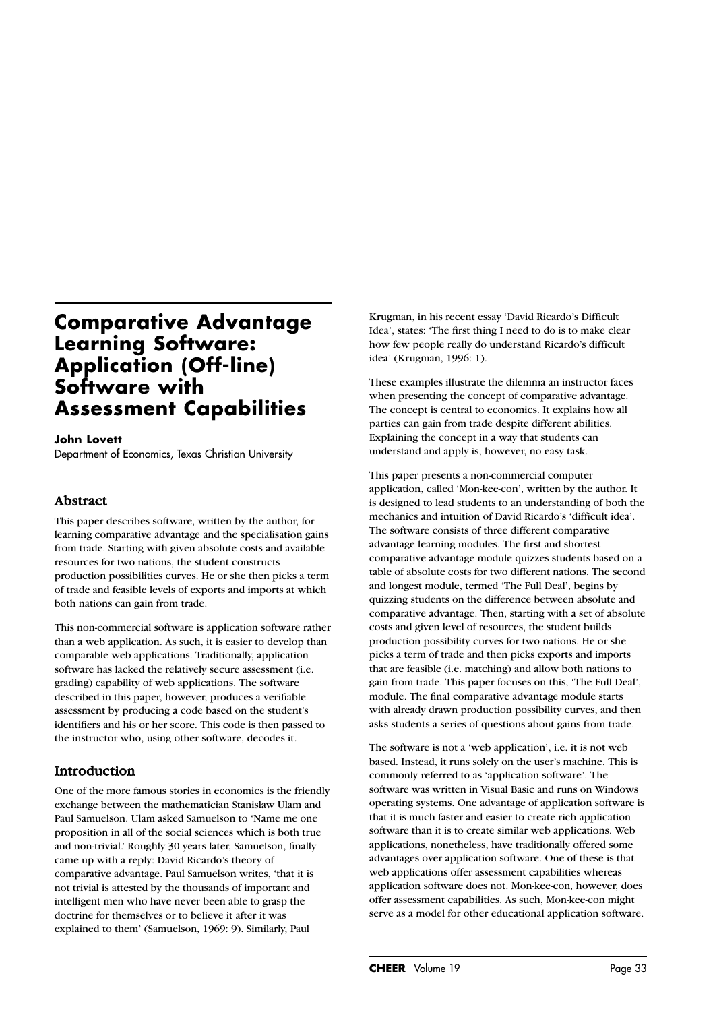# **Comparative Advantage Learning Software: Application (Off-line) Software with Assessment Capabilities**

#### **John Lovett**

Department of Economics, Texas Christian University

#### Abstract

This paper describes software, written by the author, for learning comparative advantage and the specialisation gains from trade. Starting with given absolute costs and available resources for two nations, the student constructs production possibilities curves. He or she then picks a term of trade and feasible levels of exports and imports at which both nations can gain from trade.

This non-commercial software is application software rather than a web application. As such, it is easier to develop than comparable web applications. Traditionally, application software has lacked the relatively secure assessment (i.e. grading) capability of web applications. The software described in this paper, however, produces a verifiable assessment by producing a code based on the student's identifiers and his or her score. This code is then passed to the instructor who, using other software, decodes it.

## Introduction

One of the more famous stories in economics is the friendly exchange between the mathematician Stanislaw Ulam and Paul Samuelson. Ulam asked Samuelson to 'Name me one proposition in all of the social sciences which is both true and non-trivial.' Roughly 30 years later, Samuelson, finally came up with a reply: David Ricardo's theory of comparative advantage. Paul Samuelson writes, 'that it is not trivial is attested by the thousands of important and intelligent men who have never been able to grasp the doctrine for themselves or to believe it after it was explained to them' (Samuelson, 1969: 9). Similarly, Paul

Krugman, in his recent essay 'David Ricardo's Difficult Idea', states: 'The first thing I need to do is to make clear how few people really do understand Ricardo's difficult idea' (Krugman, 1996: 1).

These examples illustrate the dilemma an instructor faces when presenting the concept of comparative advantage. The concept is central to economics. It explains how all parties can gain from trade despite different abilities. Explaining the concept in a way that students can understand and apply is, however, no easy task.

This paper presents a non-commercial computer application, called 'Mon-kee-con', written by the author. It is designed to lead students to an understanding of both the mechanics and intuition of David Ricardo's 'difficult idea'. The software consists of three different comparative advantage learning modules. The first and shortest comparative advantage module quizzes students based on a table of absolute costs for two different nations. The second and longest module, termed 'The Full Deal', begins by quizzing students on the difference between absolute and comparative advantage. Then, starting with a set of absolute costs and given level of resources, the student builds production possibility curves for two nations. He or she picks a term of trade and then picks exports and imports that are feasible (i.e. matching) and allow both nations to gain from trade. This paper focuses on this, 'The Full Deal', module. The final comparative advantage module starts with already drawn production possibility curves, and then asks students a series of questions about gains from trade.

The software is not a 'web application', i.e. it is not web based. Instead, it runs solely on the user's machine. This is commonly referred to as 'application software'. The software was written in Visual Basic and runs on Windows operating systems. One advantage of application software is that it is much faster and easier to create rich application software than it is to create similar web applications. Web applications, nonetheless, have traditionally offered some advantages over application software. One of these is that web applications offer assessment capabilities whereas application software does not. Mon-kee-con, however, does offer assessment capabilities. As such, Mon-kee-con might serve as a model for other educational application software.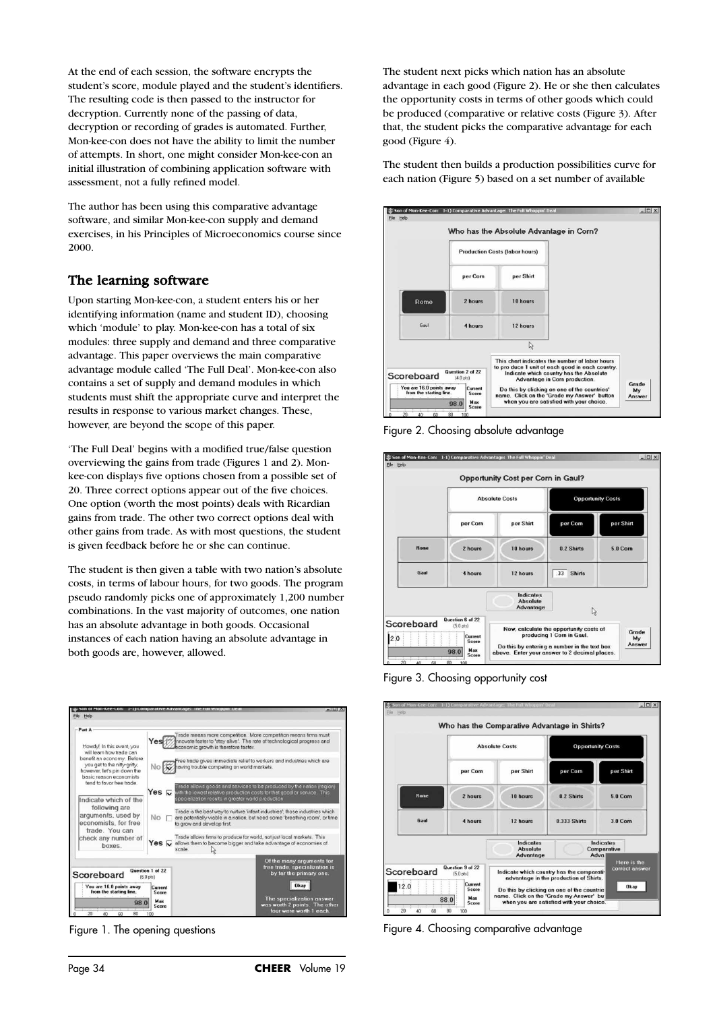At the end of each session, the software encrypts the student's score, module played and the student's identifiers. The resulting code is then passed to the instructor for decryption. Currently none of the passing of data, decryption or recording of grades is automated. Further, Mon-kee-con does not have the ability to limit the number of attempts. In short, one might consider Mon-kee-con an initial illustration of combining application software with assessment, not a fully refined model.

The author has been using this comparative advantage software, and similar Mon-kee-con supply and demand exercises, in his Principles of Microeconomics course since 2000.

#### The learning software

Upon starting Mon-kee-con, a student enters his or her identifying information (name and student ID), choosing which 'module' to play. Mon-kee-con has a total of six modules: three supply and demand and three comparative advantage. This paper overviews the main comparative advantage module called 'The Full Deal'. Mon-kee-con also contains a set of supply and demand modules in which students must shift the appropriate curve and interpret the results in response to various market changes. These, however, are beyond the scope of this paper.

'The Full Deal' begins with a modified true/false question overviewing the gains from trade (Figures 1 and 2). Monkee-con displays five options chosen from a possible set of 20. Three correct options appear out of the five choices. One option (worth the most points) deals with Ricardian gains from trade. The other two correct options deal with other gains from trade. As with most questions, the student is given feedback before he or she can continue.

The student is then given a table with two nation's absolute costs, in terms of labour hours, for two goods. The program pseudo randomly picks one of approximately 1,200 number combinations. In the vast majority of outcomes, one nation has an absolute advantage in both goods. Occasional instances of each nation having an absolute advantage in both goods are, however, allowed.



Figure 1. The opening questions

The student next picks which nation has an absolute advantage in each good (Figure 2). He or she then calculates the opportunity costs in terms of other goods which could be produced (comparative or relative costs (Figure 3). After that, the student picks the comparative advantage for each good (Figure 4).

The student then builds a production possibilities curve for each nation (Figure 5) based on a set number of available



Figure 2. Choosing absolute advantage



Figure 3. Choosing opportunity cost

|                                                                                                                  | <b>Absolute Costs</b> |                                                                                                                                                                                                                           | <b>Opportunity Costs</b> |                                       |
|------------------------------------------------------------------------------------------------------------------|-----------------------|---------------------------------------------------------------------------------------------------------------------------------------------------------------------------------------------------------------------------|--------------------------|---------------------------------------|
|                                                                                                                  | per Corn              | per Shirt                                                                                                                                                                                                                 | per Corn                 | per Shirt                             |
| <b>Rome</b>                                                                                                      | 2 hours               | 18 hours                                                                                                                                                                                                                  | 0.2 Shirts               | 5.0 Corn                              |
| Gaul                                                                                                             | 4 hours               | 12 hours                                                                                                                                                                                                                  | 0.333 Shirts             | 3.0 Corn                              |
|                                                                                                                  |                       | Indicates<br><b>Ahsolute</b><br>Advantage                                                                                                                                                                                 | Adva                     | Indicates<br>Comparative              |
| Question 9 of 22<br>Scoreboard<br>$[5.0 \text{ pts}]$<br>Current<br>12.0<br>Score<br>Max<br>88.0<br><b>Score</b> |                       | Indicate which country has the comparativ<br>advantage in the production of Shirts.<br>Do this by clicking on one of the countrie<br>name. Click on the 'Grade my Answer' but<br>when you are satisfied with your choice. |                          | Here is the<br>correct answer<br>Okay |

Figure 4. Choosing comparative advantage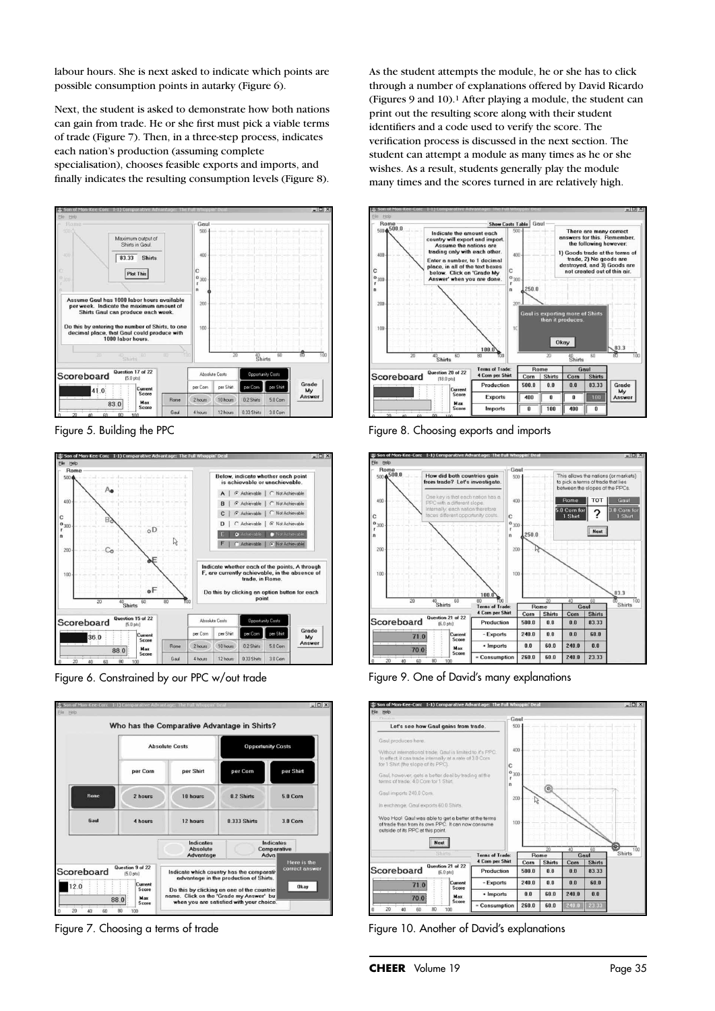labour hours. She is next asked to indicate which points are possible consumption points in autarky (Figure 6).

Next, the student is asked to demonstrate how both nations can gain from trade. He or she first must pick a viable terms of trade (Figure 7). Then, in a three-step process, indicates each nation's production (assuming complete specialisation), chooses feasible exports and imports, and finally indicates the resulting consumption levels (Figure 8).



Figure 5. Building the PPC



Figure 6. Constrained by our PPC w/out trade



Figure 7. Choosing a terms of trade

As the student attempts the module, he or she has to click through a number of explanations offered by David Ricardo (Figures 9 and 10).1 After playing a module, the student can print out the resulting score along with their student identifiers and a code used to verify the score. The verification process is discussed in the next section. The student can attempt a module as many times as he or she wishes. As a result, students generally play the module many times and the scores turned in are relatively high.



Figure 8. Choosing exports and imports



Figure 9. One of David's many explanations



Figure 10. Another of David's explanations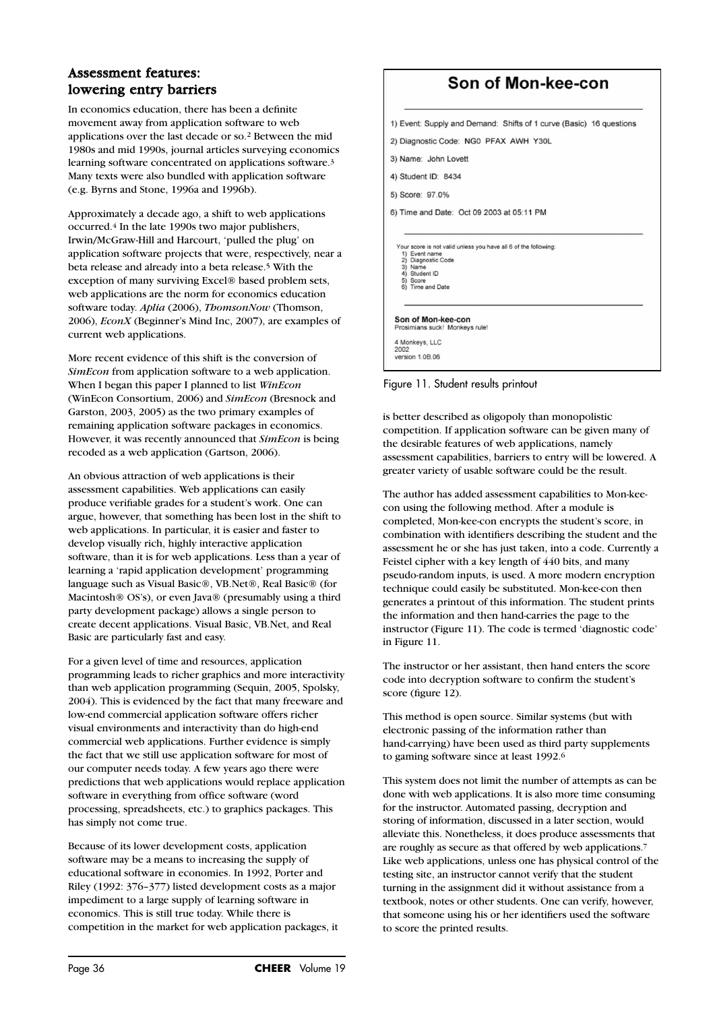## Assessment features: lowering entry barriers

In economics education, there has been a definite movement away from application software to web applications over the last decade or so.2 Between the mid 1980s and mid 1990s, journal articles surveying economics learning software concentrated on applications software.3 Many texts were also bundled with application software (e.g. Byrns and Stone, 1996a and 1996b).

Approximately a decade ago, a shift to web applications occurred.4 In the late 1990s two major publishers, Irwin/McGraw-Hill and Harcourt, 'pulled the plug' on application software projects that were, respectively, near a beta release and already into a beta release.5 With the exception of many surviving Excel® based problem sets, web applications are the norm for economics education software today. Aplia (2006), *ThomsonNow* (Thomson, 2006), *EconX* (Beginner's Mind Inc, 2007), are examples of current web applications.

More recent evidence of this shift is the conversion of *SimEcon* from application software to a web application. When I began this paper I planned to list *WinEcon* (WinEcon Consortium, 2006) and *SimEcon* (Bresnock and Garston, 2003, 2005) as the two primary examples of remaining application software packages in economics. However, it was recently announced that *SimEcon* is being recoded as a web application (Gartson, 2006).

An obvious attraction of web applications is their assessment capabilities. Web applications can easily produce verifiable grades for a student's work. One can argue, however, that something has been lost in the shift to web applications. In particular, it is easier and faster to develop visually rich, highly interactive application software, than it is for web applications. Less than a year of learning a 'rapid application development' programming language such as Visual Basic®, VB.Net®, Real Basic® (for Macintosh® OS's), or even Java® (presumably using a third party development package) allows a single person to create decent applications. Visual Basic, VB.Net, and Real Basic are particularly fast and easy.

For a given level of time and resources, application programming leads to richer graphics and more interactivity than web application programming (Sequin, 2005, Spolsky, 2004). This is evidenced by the fact that many freeware and low-end commercial application software offers richer visual environments and interactivity than do high-end commercial web applications. Further evidence is simply the fact that we still use application software for most of our computer needs today. A few years ago there were predictions that web applications would replace application software in everything from office software (word processing, spreadsheets, etc.) to graphics packages. This has simply not come true.

Because of its lower development costs, application software may be a means to increasing the supply of educational software in economies. In 1992, Porter and Riley (1992: 376–377) listed development costs as a major impediment to a large supply of learning software in economics. This is still true today. While there is competition in the market for web application packages, it



Figure 11. Student results printout

is better described as oligopoly than monopolistic competition. If application software can be given many of the desirable features of web applications, namely assessment capabilities, barriers to entry will be lowered. A greater variety of usable software could be the result.

The author has added assessment capabilities to Mon-keecon using the following method. After a module is completed, Mon-kee-con encrypts the student's score, in combination with identifiers describing the student and the assessment he or she has just taken, into a code. Currently a Feistel cipher with a key length of 440 bits, and many pseudo-random inputs, is used. A more modern encryption technique could easily be substituted. Mon-kee-con then generates a printout of this information. The student prints the information and then hand-carries the page to the instructor (Figure 11). The code is termed 'diagnostic code' in Figure 11.

The instructor or her assistant, then hand enters the score code into decryption software to confirm the student's score (figure 12).

This method is open source. Similar systems (but with electronic passing of the information rather than hand-carrying) have been used as third party supplements to gaming software since at least 1992.6

This system does not limit the number of attempts as can be done with web applications. It is also more time consuming for the instructor. Automated passing, decryption and storing of information, discussed in a later section, would alleviate this. Nonetheless, it does produce assessments that are roughly as secure as that offered by web applications.7 Like web applications, unless one has physical control of the testing site, an instructor cannot verify that the student turning in the assignment did it without assistance from a textbook, notes or other students. One can verify, however, that someone using his or her identifiers used the software to score the printed results.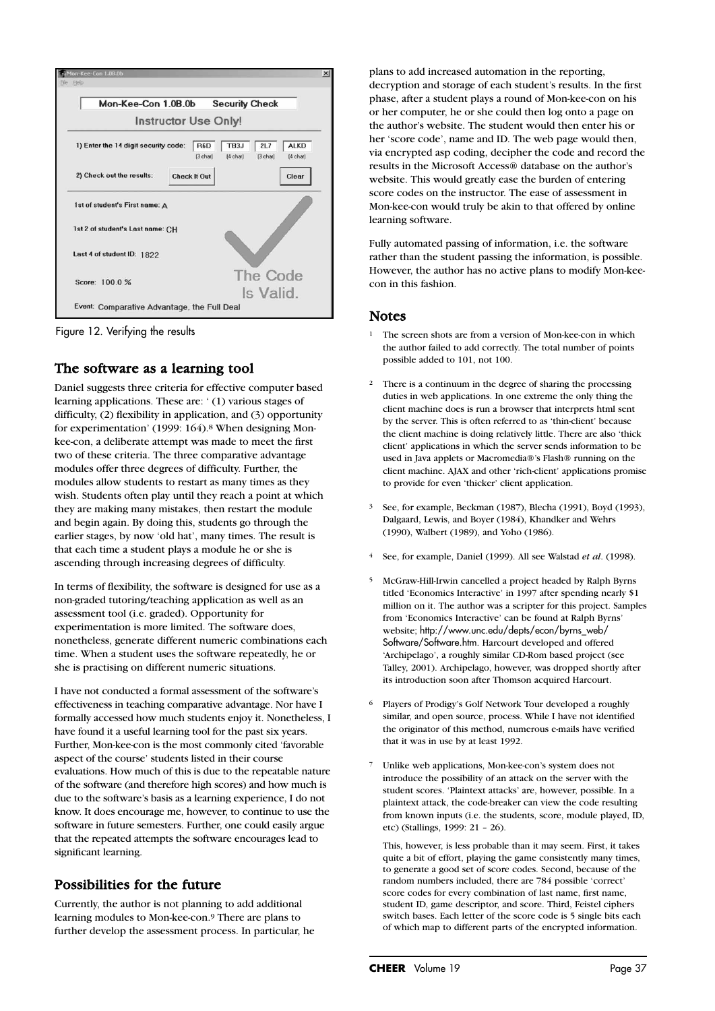

Figure 12. Verifying the results

## The software as a learning tool

Daniel suggests three criteria for effective computer based learning applications. These are: ' (1) various stages of difficulty, (2) flexibility in application, and (3) opportunity for experimentation' (1999: 164).8 When designing Monkee-con, a deliberate attempt was made to meet the first two of these criteria. The three comparative advantage modules offer three degrees of difficulty. Further, the modules allow students to restart as many times as they wish. Students often play until they reach a point at which they are making many mistakes, then restart the module and begin again. By doing this, students go through the earlier stages, by now 'old hat', many times. The result is that each time a student plays a module he or she is ascending through increasing degrees of difficulty.

In terms of flexibility, the software is designed for use as a non-graded tutoring/teaching application as well as an assessment tool (i.e. graded). Opportunity for experimentation is more limited. The software does, nonetheless, generate different numeric combinations each time. When a student uses the software repeatedly, he or she is practising on different numeric situations.

I have not conducted a formal assessment of the software's effectiveness in teaching comparative advantage. Nor have I formally accessed how much students enjoy it. Nonetheless, I have found it a useful learning tool for the past six years. Further, Mon-kee-con is the most commonly cited 'favorable aspect of the course' students listed in their course evaluations. How much of this is due to the repeatable nature of the software (and therefore high scores) and how much is due to the software's basis as a learning experience, I do not know. It does encourage me, however, to continue to use the software in future semesters. Further, one could easily argue that the repeated attempts the software encourages lead to significant learning.

## Possibilities for the future

Currently, the author is not planning to add additional learning modules to Mon-kee-con.9 There are plans to further develop the assessment process. In particular, he

plans to add increased automation in the reporting, decryption and storage of each student's results. In the first phase, after a student plays a round of Mon-kee-con on his or her computer, he or she could then log onto a page on the author's website. The student would then enter his or her 'score code', name and ID. The web page would then, via encrypted asp coding, decipher the code and record the results in the Microsoft Access® database on the author's website. This would greatly ease the burden of entering score codes on the instructor. The ease of assessment in Mon-kee-con would truly be akin to that offered by online learning software.

Fully automated passing of information, i.e. the software rather than the student passing the information, is possible. However, the author has no active plans to modify Mon-keecon in this fashion.

#### Notes

- <sup>1</sup> The screen shots are from a version of Mon-kee-con in which the author failed to add correctly. The total number of points possible added to 101, not 100.
- <sup>2</sup> There is a continuum in the degree of sharing the processing duties in web applications. In one extreme the only thing the client machine does is run a browser that interprets html sent by the server. This is often referred to as 'thin-client' because the client machine is doing relatively little. There are also 'thick client' applications in which the server sends information to be used in Java applets or Macromedia®'s Flash® running on the client machine. AJAX and other 'rich-client' applications promise to provide for even 'thicker' client application.
- 3 See, for example, Beckman (1987), Blecha (1991), Boyd (1993), Dalgaard, Lewis, and Boyer (1984), Khandker and Wehrs (1990), Walbert (1989), and Yoho (1986).
- <sup>4</sup> See, for example, Daniel (1999). All see Walstad *et al*. (1998).
- 5 McGraw-Hill-Irwin cancelled a project headed by Ralph Byrns titled 'Economics Interactive' in 1997 after spending nearly \$1 million on it. The author was a scripter for this project. Samples from 'Economics Interactive' can be found at Ralph Byrns' website; http://www.unc.edu/depts/econ/byrns\_web/ Software/Software.htm. Harcourt developed and offered 'Archipelago', a roughly similar CD-Rom based project (see Talley, 2001). Archipelago, however, was dropped shortly after its introduction soon after Thomson acquired Harcourt.
- <sup>6</sup> Players of Prodigy's Golf Network Tour developed a roughly similar, and open source, process. While I have not identified the originator of this method, numerous e-mails have verified that it was in use by at least 1992.
- <sup>7</sup> Unlike web applications, Mon-kee-con's system does not introduce the possibility of an attack on the server with the student scores. 'Plaintext attacks' are, however, possible. In a plaintext attack, the code-breaker can view the code resulting from known inputs (i.e. the students, score, module played, ID, etc) (Stallings, 1999: 21 – 26).

This, however, is less probable than it may seem. First, it takes quite a bit of effort, playing the game consistently many times, to generate a good set of score codes. Second, because of the random numbers included, there are 784 possible 'correct' score codes for every combination of last name, first name, student ID, game descriptor, and score. Third, Feistel ciphers switch bases. Each letter of the score code is 5 single bits each of which map to different parts of the encrypted information.